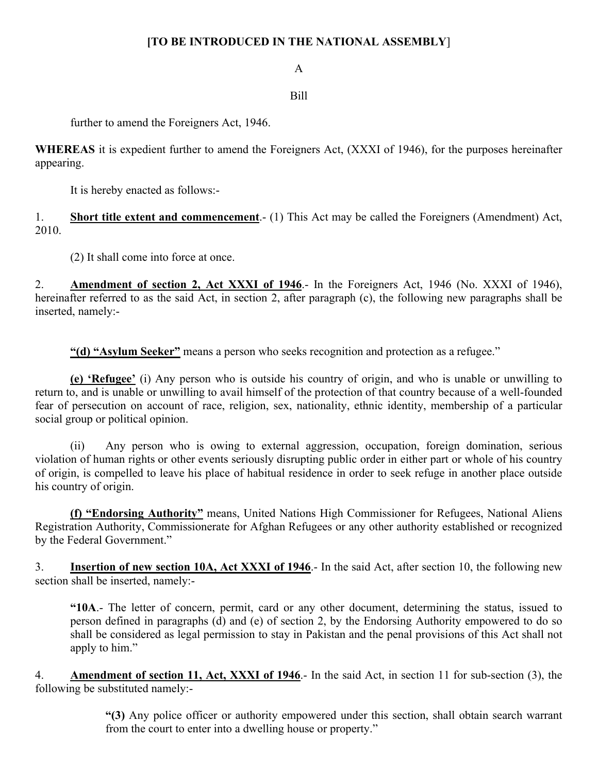## **[TO BE INTRODUCED IN THE NATIONAL ASSEMBLY**]

A

## Bill

further to amend the Foreigners Act, 1946.

**WHEREAS** it is expedient further to amend the Foreigners Act, (XXXI of 1946), for the purposes hereinafter appearing.

It is hereby enacted as follows:-

1. **Short title extent and commencement**.- (1) This Act may be called the Foreigners (Amendment) Act, 2010.

(2) It shall come into force at once.

2. **Amendment of section 2, Act XXXI of 1946**.- In the Foreigners Act, 1946 (No. XXXI of 1946), hereinafter referred to as the said Act, in section 2, after paragraph (c), the following new paragraphs shall be inserted, namely:-

**"(d) "Asylum Seeker"** means a person who seeks recognition and protection as a refugee."

**(e) 'Refugee'** (i) Any person who is outside his country of origin, and who is unable or unwilling to return to, and is unable or unwilling to avail himself of the protection of that country because of a well-founded fear of persecution on account of race, religion, sex, nationality, ethnic identity, membership of a particular social group or political opinion.

(ii) Any person who is owing to external aggression, occupation, foreign domination, serious violation of human rights or other events seriously disrupting public order in either part or whole of his country of origin, is compelled to leave his place of habitual residence in order to seek refuge in another place outside his country of origin.

**(f) "Endorsing Authority"** means, United Nations High Commissioner for Refugees, National Aliens Registration Authority, Commissionerate for Afghan Refugees or any other authority established or recognized by the Federal Government."

3. **Insertion of new section 10A, Act XXXI of 1946**.- In the said Act, after section 10, the following new section shall be inserted, namely:-

**"10A**.- The letter of concern, permit, card or any other document, determining the status, issued to person defined in paragraphs (d) and (e) of section 2, by the Endorsing Authority empowered to do so shall be considered as legal permission to stay in Pakistan and the penal provisions of this Act shall not apply to him."

4. **Amendment of section 11, Act, XXXI of 1946**.- In the said Act, in section 11 for sub-section (3), the following be substituted namely:-

> **"(3)** Any police officer or authority empowered under this section, shall obtain search warrant from the court to enter into a dwelling house or property."